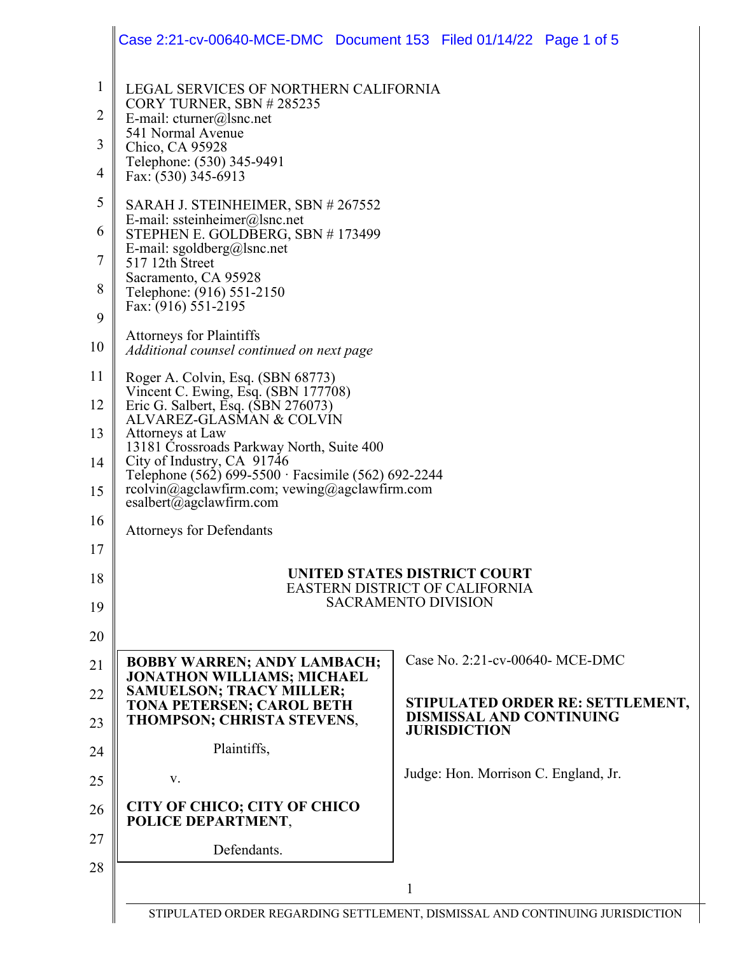|                | Case 2:21-cv-00640-MCE-DMC Document 153 Filed 01/14/22 Page 1 of 5                         |                                                                              |  |  |
|----------------|--------------------------------------------------------------------------------------------|------------------------------------------------------------------------------|--|--|
| $\mathbf{1}$   | LEGAL SERVICES OF NORTHERN CALIFORNIA                                                      |                                                                              |  |  |
| $\overline{2}$ | CORY TURNER, SBN #285235<br>E-mail: $cturner@]$ snc.net                                    |                                                                              |  |  |
| 3              | 541 Normal Avenue<br>Chico, CA 95928                                                       |                                                                              |  |  |
| 4              | Telephone: (530) 345-9491<br>Fax: (530) 345-6913                                           |                                                                              |  |  |
| 5              | SARAH J. STEINHEIMER, SBN # 267552                                                         |                                                                              |  |  |
| 6              | E-mail: ssteinheimer@lsnc.net<br>STEPHEN E. GOLDBERG, SBN #173499                          |                                                                              |  |  |
| 7              | E-mail: sgoldberg@lsnc.net<br>517 12th Street                                              |                                                                              |  |  |
| 8              | Sacramento, CA 95928<br>Telephone: (916) 551-2150                                          |                                                                              |  |  |
| 9              | Fax: (916) 551-2195                                                                        |                                                                              |  |  |
| 10             | <b>Attorneys for Plaintiffs</b><br>Additional counsel continued on next page               |                                                                              |  |  |
| 11             | Roger A. Colvin, Esq. (SBN 68773)<br>Vincent C. Ewing, Esq. (SBN 177708)                   |                                                                              |  |  |
| 12             | Eric G. Salbert, Esq. (SBN 276073)<br>ALVAREZ-GLASMAN & COLVIN                             |                                                                              |  |  |
| 13             | Attorneys at Law<br>13181 Črossroads Parkway North, Suite 400                              |                                                                              |  |  |
| 14             | City of Industry, CA 91746<br>Telephone (562) 699-5500 · Facsimile (562) 692-2244          |                                                                              |  |  |
| 15             | rcolvin@agclawfirm.com; vewing@agclawfirm.com<br>esalbert@agclawfirm.com                   |                                                                              |  |  |
| 16             | <b>Attorneys for Defendants</b>                                                            |                                                                              |  |  |
| 17             |                                                                                            |                                                                              |  |  |
| 18             |                                                                                            | UNITED STATES DISTRICT COURT<br><b>EASTERN DISTRICT OF CALIFORNIA</b>        |  |  |
| 19             |                                                                                            | <b>SACRAMENTO DIVISION</b>                                                   |  |  |
| 20             |                                                                                            |                                                                              |  |  |
| 21             | <b>BOBBY WARREN; ANDY LAMBACH;</b><br><b>JONATHON WILLIAMS; MICHAEL</b>                    | Case No. 2:21-cv-00640- MCE-DMC                                              |  |  |
| 22<br>23       | <b>SAMUELSON; TRACY MILLER;</b><br>TONA PETERSEN; CAROL BETH<br>THOMPSON; CHRISTA STEVENS, | STIPULATED ORDER RE: SETTLEMENT,<br>DISMISSAL AND CONTINUING                 |  |  |
| 24             | Plaintiffs,                                                                                | <b>JURISDICTION</b>                                                          |  |  |
| 25             | V.                                                                                         | Judge: Hon. Morrison C. England, Jr.                                         |  |  |
| 26             | <b>CITY OF CHICO; CITY OF CHICO</b><br>POLICE DEPARTMENT,                                  |                                                                              |  |  |
| 27             | Defendants.                                                                                |                                                                              |  |  |
| 28             |                                                                                            | 1                                                                            |  |  |
|                |                                                                                            | STIPULATED ORDER REGARDING SETTLEMENT, DISMISSAL AND CONTINUING JURISDICTION |  |  |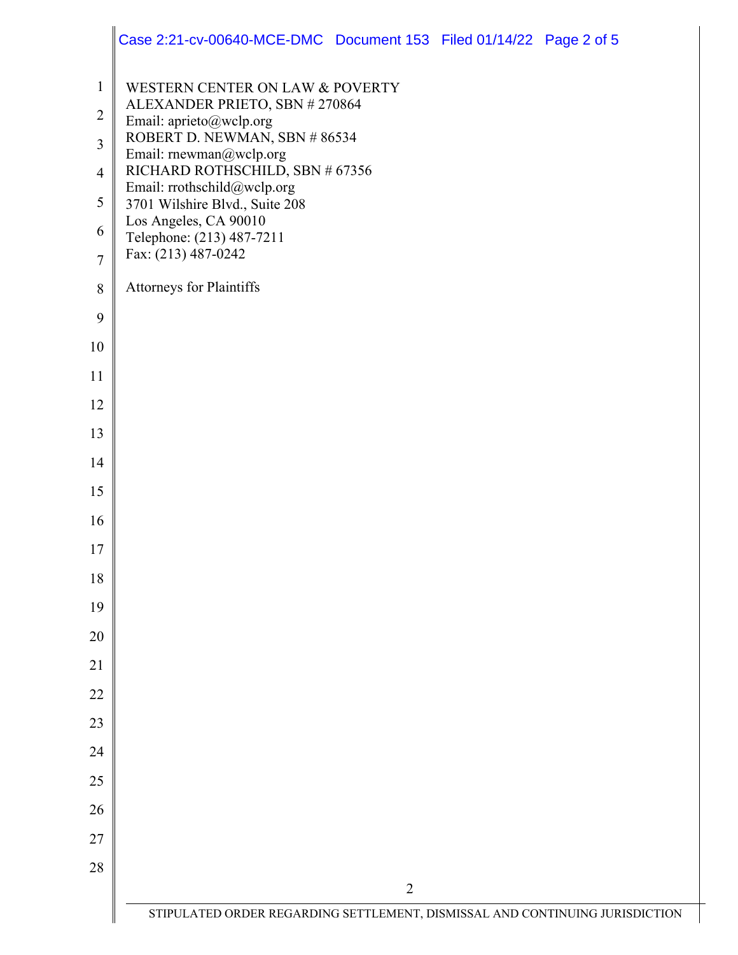|                                                                                        | Case 2:21-cv-00640-MCE-DMC Document 153 Filed 01/14/22 Page 2 of 5                                                                                                                                                                                                                                                                                                         |
|----------------------------------------------------------------------------------------|----------------------------------------------------------------------------------------------------------------------------------------------------------------------------------------------------------------------------------------------------------------------------------------------------------------------------------------------------------------------------|
| $\mathbf{1}$<br>$\overline{2}$<br>3<br>$\overline{4}$<br>5<br>6<br>$\overline{7}$<br>8 | WESTERN CENTER ON LAW & POVERTY<br>ALEXANDER PRIETO, SBN #270864<br>Email: aprieto@wclp.org<br>ROBERT D. NEWMAN, SBN #86534<br>Email: rnewman@wclp.org<br>RICHARD ROTHSCHILD, SBN # 67356<br>Email: rrothschild@wclp.org<br>3701 Wilshire Blvd., Suite 208<br>Los Angeles, CA 90010<br>Telephone: (213) 487-7211<br>Fax: (213) 487-0242<br><b>Attorneys for Plaintiffs</b> |
| 9                                                                                      |                                                                                                                                                                                                                                                                                                                                                                            |
| 10                                                                                     |                                                                                                                                                                                                                                                                                                                                                                            |
| 11                                                                                     |                                                                                                                                                                                                                                                                                                                                                                            |
| 12                                                                                     |                                                                                                                                                                                                                                                                                                                                                                            |
| 13                                                                                     |                                                                                                                                                                                                                                                                                                                                                                            |
| 14                                                                                     |                                                                                                                                                                                                                                                                                                                                                                            |
| 15                                                                                     |                                                                                                                                                                                                                                                                                                                                                                            |
| 16                                                                                     |                                                                                                                                                                                                                                                                                                                                                                            |
| 17                                                                                     |                                                                                                                                                                                                                                                                                                                                                                            |
| 18                                                                                     |                                                                                                                                                                                                                                                                                                                                                                            |
| 19                                                                                     |                                                                                                                                                                                                                                                                                                                                                                            |
| 20                                                                                     |                                                                                                                                                                                                                                                                                                                                                                            |
| 21                                                                                     |                                                                                                                                                                                                                                                                                                                                                                            |
| 22                                                                                     |                                                                                                                                                                                                                                                                                                                                                                            |
| 23                                                                                     |                                                                                                                                                                                                                                                                                                                                                                            |
| 24                                                                                     |                                                                                                                                                                                                                                                                                                                                                                            |
| 25                                                                                     |                                                                                                                                                                                                                                                                                                                                                                            |
| 26                                                                                     |                                                                                                                                                                                                                                                                                                                                                                            |
| 27                                                                                     |                                                                                                                                                                                                                                                                                                                                                                            |
| 28                                                                                     | $\overline{2}$                                                                                                                                                                                                                                                                                                                                                             |
|                                                                                        | STIPULATED ORDER REGARDING SETTLEMENT, DISMISSAL AND CONTINUING JURISDICTION                                                                                                                                                                                                                                                                                               |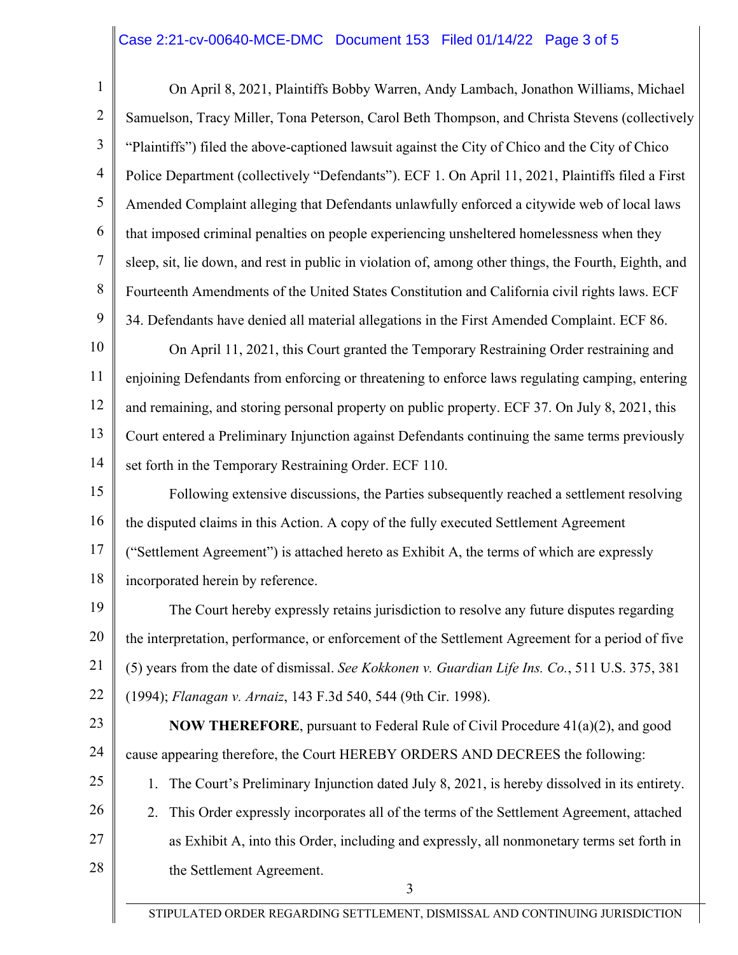## Case 2:21-cv-00640-MCE-DMC Document 153 Filed 01/14/22 Page 3 of 5

1 2 3 4 5 6 7 8 9 10 11 12 13 14 15 16 17 18 19 20 21 22 On April 8, 2021, Plaintiffs Bobby Warren, Andy Lambach, Jonathon Williams, Michael Samuelson, Tracy Miller, Tona Peterson, Carol Beth Thompson, and Christa Stevens (collectively "Plaintiffs") filed the above-captioned lawsuit against the City of Chico and the City of Chico Police Department (collectively "Defendants"). ECF 1. On April 11, 2021, Plaintiffs filed a First Amended Complaint alleging that Defendants unlawfully enforced a citywide web of local laws that imposed criminal penalties on people experiencing unsheltered homelessness when they sleep, sit, lie down, and rest in public in violation of, among other things, the Fourth, Eighth, and Fourteenth Amendments of the United States Constitution and California civil rights laws. ECF 34. Defendants have denied all material allegations in the First Amended Complaint. ECF 86. On April 11, 2021, this Court granted the Temporary Restraining Order restraining and enjoining Defendants from enforcing or threatening to enforce laws regulating camping, entering and remaining, and storing personal property on public property. ECF 37. On July 8, 2021, this Court entered a Preliminary Injunction against Defendants continuing the same terms previously set forth in the Temporary Restraining Order. ECF 110. Following extensive discussions, the Parties subsequently reached a settlement resolving the disputed claims in this Action. A copy of the fully executed Settlement Agreement ("Settlement Agreement") is attached hereto as Exhibit A, the terms of which are expressly incorporated herein by reference. The Court hereby expressly retains jurisdiction to resolve any future disputes regarding the interpretation, performance, or enforcement of the Settlement Agreement for a period of five (5) years from the date of dismissal. *See Kokkonen v. Guardian Life Ins. Co.*, 511 U.S. 375, 381 (1994); *Flanagan v. Arnaiz*, 143 F.3d 540, 544 (9th Cir. 1998).

23 24

**NOW THEREFORE**, pursuant to Federal Rule of Civil Procedure 41(a)(2), and good cause appearing therefore, the Court HEREBY ORDERS AND DECREES the following:

25 26 27 28 1. The Court's Preliminary Injunction dated July 8, 2021, is hereby dissolved in its entirety. 2. This Order expressly incorporates all of the terms of the Settlement Agreement, attached as Exhibit A, into this Order, including and expressly, all nonmonetary terms set forth in the Settlement Agreement.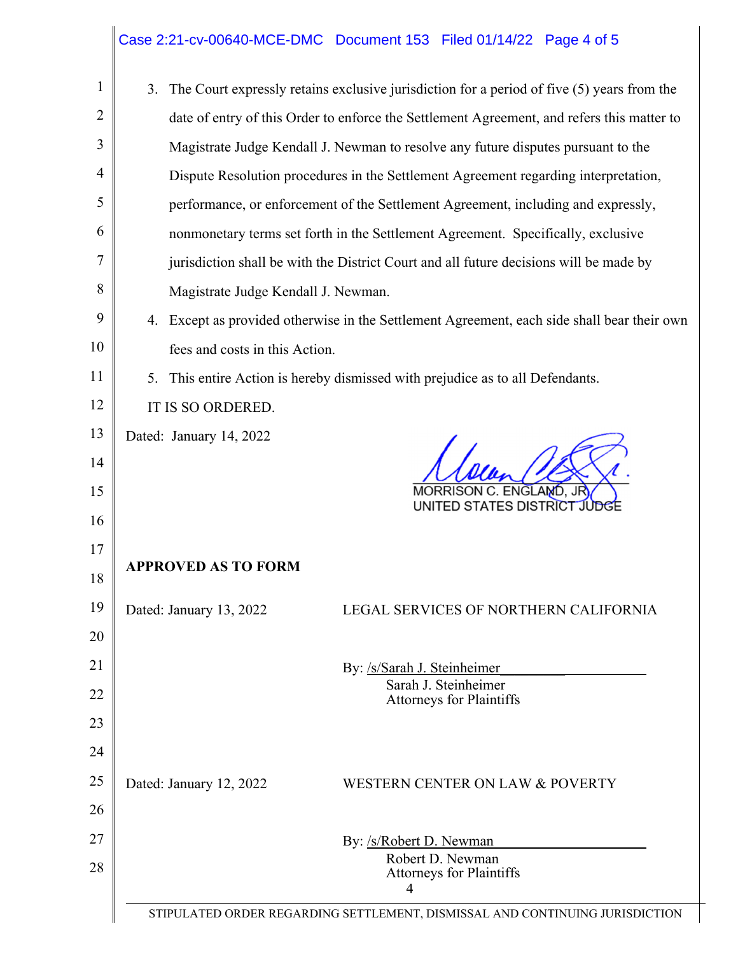## Case 2:21-cv-00640-MCE-DMC Document 153 Filed 01/14/22 Page 4 of 5

| $\mathbf{1}$   | 3. The Court expressly retains exclusive jurisdiction for a period of five (5) years from the  |  |  |  |  |
|----------------|------------------------------------------------------------------------------------------------|--|--|--|--|
| $\overline{2}$ | date of entry of this Order to enforce the Settlement Agreement, and refers this matter to     |  |  |  |  |
| 3              | Magistrate Judge Kendall J. Newman to resolve any future disputes pursuant to the              |  |  |  |  |
| 4              | Dispute Resolution procedures in the Settlement Agreement regarding interpretation,            |  |  |  |  |
| 5              | performance, or enforcement of the Settlement Agreement, including and expressly,              |  |  |  |  |
| 6              | nonmonetary terms set forth in the Settlement Agreement. Specifically, exclusive               |  |  |  |  |
| 7              | jurisdiction shall be with the District Court and all future decisions will be made by         |  |  |  |  |
| 8              | Magistrate Judge Kendall J. Newman.                                                            |  |  |  |  |
| 9              | 4. Except as provided otherwise in the Settlement Agreement, each side shall bear their own    |  |  |  |  |
| 10             | fees and costs in this Action.                                                                 |  |  |  |  |
| 11             | 5. This entire Action is hereby dismissed with prejudice as to all Defendants.                 |  |  |  |  |
| 12             | IT IS SO ORDERED.                                                                              |  |  |  |  |
| 13             | Dated: January 14, 2022                                                                        |  |  |  |  |
| 14             |                                                                                                |  |  |  |  |
| 15             | ΔN<br>UNITED STATES DISTRICT                                                                   |  |  |  |  |
| 16             |                                                                                                |  |  |  |  |
| 17             | <b>APPROVED AS TO FORM</b>                                                                     |  |  |  |  |
| 18             |                                                                                                |  |  |  |  |
| 19             | Dated: January 13, 2022<br>LEGAL SERVICES OF NORTHERN CALIFORNIA                               |  |  |  |  |
| 20             |                                                                                                |  |  |  |  |
| 21             | By: /s/Sarah J. Steinheimer<br>Sarah J. Steinheimer                                            |  |  |  |  |
| 22             | <b>Attorneys for Plaintiffs</b>                                                                |  |  |  |  |
| 23             |                                                                                                |  |  |  |  |
| 24             |                                                                                                |  |  |  |  |
| 25             | Dated: January 12, 2022<br>WESTERN CENTER ON LAW & POVERTY                                     |  |  |  |  |
| 26             |                                                                                                |  |  |  |  |
| 27             | By: /s/Robert D. Newman<br>Robert D. Newman                                                    |  |  |  |  |
| 28             | <b>Attorneys for Plaintiffs</b>                                                                |  |  |  |  |
|                | $\overline{4}$<br>STIPULATED ORDER REGARDING SETTLEMENT, DISMISSAL AND CONTINUING JURISDICTION |  |  |  |  |
|                |                                                                                                |  |  |  |  |